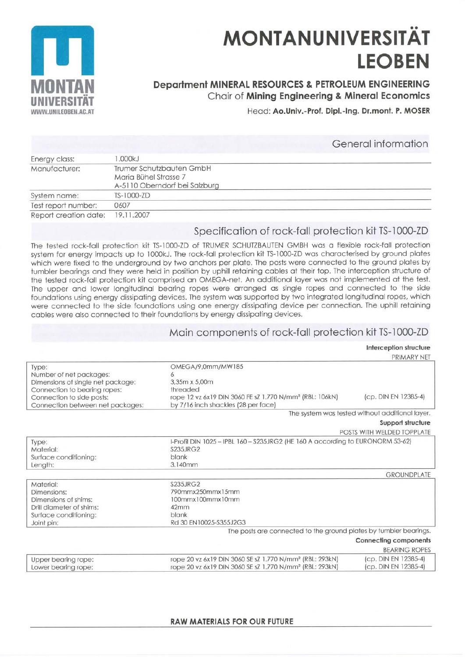

# **MONTANUNIVERSITÄT LEOBEN**

### **Department MINERAL RESOURCES & PETROLEUM ENGINEERING** Chair of Mining Engineering & Mineral Economics

Head: Ao.Univ.-Prof. Dipl.-Ing. Dr.mont. P. MOSER

General information 1.000kJ Energy class: Manufacturer: Trumer Schutzbauten GmbH Maria Bühel Strasse 7 A-5110 Oberndorf bei Salzburg TS-1000-ZD System name: 0607 Test report number: 19.11.2007 Report creation date:

# Specification of rock-fall protection kit TS-1000-ZD

The tested rock-fall protection kit TS-1000-ZD of TRUMER SCHUTZBAUTEN GMBH was a flexible rock-fall protection system for energy impacts up to 1000kJ. The rock-fall protection kit TS-1000-ZD was characterised by ground plates which were fixed to the underground by two anchors per plate. The posts were connected to the ground plates by tumbler bearings and they were held in position by uphill retaining cables at their top. The interception structure of the tested rock-fall protection kit comprised an OMEGA-net. An additional layer was not implemented at the test. The upper and lower longitudinal bearing ropes were arranged as single ropes and connected to the side foundations using energy dissipating devices. The system was supported by two integrated longitudinal ropes, which were connected to the side foundations using one energy dissipating device per connection. The uphill retaining cables were also connected to their foundations by energy dissipating devices.

# Main components of rock-fall protection kit TS-1000-ZD

#### Interception structure

**PRIMARY NET** 

|                                                                                                                                                                        |                                                                                                                                                              | $1$ INHAIGHN I INEI                             |  |
|------------------------------------------------------------------------------------------------------------------------------------------------------------------------|--------------------------------------------------------------------------------------------------------------------------------------------------------------|-------------------------------------------------|--|
| Type:<br>Number of net packages:<br>Dimensions of single net package:<br>Connection to bearing ropes:<br>Connection to side posts:<br>Connection between net packages: | OMEGA/9,0mm/MW185<br>3,35m x 5,00m<br>threaded<br>rope 12 vz 6x19 DIN 3060 FE sZ 1.770 N/mm <sup>2</sup> (RBL: 106kN)<br>by 7/16 inch shackles (28 per face) | (cp. DIN EN 12385-4)                            |  |
|                                                                                                                                                                        |                                                                                                                                                              | The system was tested without additional layer. |  |
|                                                                                                                                                                        |                                                                                                                                                              | Support structure                               |  |
|                                                                                                                                                                        |                                                                                                                                                              | POSTS WITH WELDED TOPPLATE                      |  |
|                                                                                                                                                                        |                                                                                                                                                              |                                                 |  |
| Type:<br>Material:                                                                                                                                                     | I-Profil DIN 1025 - IPBL 160 - S235JRG2 (HE 160 A according to EURONORM 53-62)<br>S235JRG2                                                                   |                                                 |  |
| Surface conditioning:                                                                                                                                                  | blank                                                                                                                                                        |                                                 |  |
| Length:                                                                                                                                                                | 3.140mm                                                                                                                                                      |                                                 |  |
|                                                                                                                                                                        |                                                                                                                                                              | <b>GROUNDPLATE</b>                              |  |
| Material:                                                                                                                                                              | <b>S235JRG2</b>                                                                                                                                              |                                                 |  |
| Dimensions:                                                                                                                                                            | 790mmx250mmx15mm                                                                                                                                             |                                                 |  |
| Dimensions of shims:                                                                                                                                                   | 100mmx100mmx10mm                                                                                                                                             |                                                 |  |
| Drill diameter of shims:                                                                                                                                               | 42 <sub>mm</sub>                                                                                                                                             |                                                 |  |
| Surface conditioning:                                                                                                                                                  | blank                                                                                                                                                        |                                                 |  |
| Joint pin:                                                                                                                                                             | Rd 30 EN10025-S355J2G3                                                                                                                                       |                                                 |  |
|                                                                                                                                                                        | The posts are connected to the ground plates by tumbler bearings.                                                                                            |                                                 |  |
|                                                                                                                                                                        |                                                                                                                                                              | Connecting components                           |  |
|                                                                                                                                                                        |                                                                                                                                                              | <b>BEARING ROPES</b>                            |  |
| Upper bearing rope:<br>Lower bearing rope:                                                                                                                             | rope 20 vz 6x19 DIN 3060 SE sZ 1.770 N/mm <sup>2</sup> (RBL: 293kN)<br>rope 20 vz 6x19 DIN 3060 SE sZ 1.770 N/mm <sup>2</sup> (RBL: 293kN)                   | (CD. DIN EN 12385-4)<br>(cp. DIN EN 12385-4)    |  |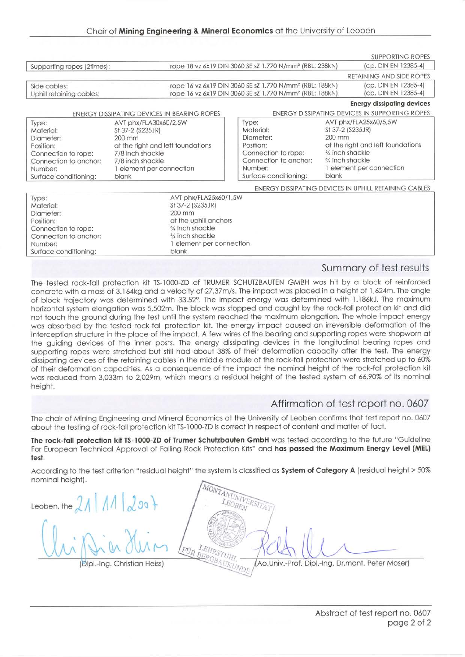|                            |                                                                     |                                                                                             |                                          | <b>SUPPORTING ROPES</b>                               |  |  |
|----------------------------|---------------------------------------------------------------------|---------------------------------------------------------------------------------------------|------------------------------------------|-------------------------------------------------------|--|--|
| Supporting ropes (2times): | rope 18 vz 6x19 DIN 3060 SE sZ 1.770 N/mm <sup>2</sup> (RBL: 238kN) |                                                                                             |                                          | (cp. DIN EN 12385-4)                                  |  |  |
|                            |                                                                     |                                                                                             |                                          | <b>RETAINING AND SIDE ROPES</b>                       |  |  |
| Side cables:               |                                                                     | (cp. DIN EN 12385-4)<br>rope 16 vz 6x19 DIN 3060 SE sZ 1.770 N/mm <sup>2</sup> (RBL: 188kN) |                                          |                                                       |  |  |
| Uphill retaining cables:   |                                                                     | (cp. DIN EN 12385-4)<br>rope 16 vz 6x19 DIN 3060 SE sZ 1.770 N/mm <sup>2</sup> (RBL: 188kN) |                                          |                                                       |  |  |
|                            |                                                                     |                                                                                             |                                          | <b>Energy dissipating devices</b>                     |  |  |
|                            | ENERGY DISSIPATING DEVICES IN BEARING ROPES                         |                                                                                             |                                          | ENERGY DISSIPATING DEVICES IN SUPPORTING ROPES        |  |  |
| Type:                      | AVT phx/FLA30x60/2,5W                                               | Type:                                                                                       | AVT phx/FLA25x60/5,5W                    |                                                       |  |  |
| Material:                  | St 37-2 (S235JR)                                                    | Material:                                                                                   | St 37-2 (S235JR)                         |                                                       |  |  |
| Diameter:                  | 200 mm                                                              | Diameter:                                                                                   | $200$ mm                                 |                                                       |  |  |
| Position:                  | at the right and left foundations                                   | Position:                                                                                   | at the right and left foundations        |                                                       |  |  |
| Connection to rope:        | 7/8 inch shackle                                                    | Connection to rope:                                                                         | <sup>3</sup> / <sub>4</sub> inch shackle |                                                       |  |  |
| Connection to anchor:      | 7/8 inch shackle                                                    | Connection to anchor:                                                                       | $\frac{3}{4}$ inch shackle               |                                                       |  |  |
| Number:                    | 1 element per connection                                            | Number:                                                                                     | element per connection                   |                                                       |  |  |
| Surface conditioning:      | blank                                                               | Surface conditioning:                                                                       | blank                                    |                                                       |  |  |
|                            |                                                                     |                                                                                             |                                          | ENERGY DISSIPATING DEVICES IN UPHILL RETAINING CABLES |  |  |
| Type:                      | AVT phx/FLA25x60/1,5W                                               |                                                                                             |                                          |                                                       |  |  |
| Material:                  | St 37-2 (S235JR)                                                    |                                                                                             |                                          |                                                       |  |  |
| Diameter:                  | $200$ mm                                                            |                                                                                             |                                          |                                                       |  |  |
| Position:                  | at the uphill anchors                                               |                                                                                             |                                          |                                                       |  |  |
| Connection to rope:        | 3/4 inch shackle                                                    |                                                                                             |                                          |                                                       |  |  |
| Connection to anchor:      | 3/4 inch shackle                                                    |                                                                                             |                                          |                                                       |  |  |
| Number:                    | 1 element per connection                                            |                                                                                             |                                          |                                                       |  |  |
| Surface conditioning:      | blank                                                               |                                                                                             |                                          |                                                       |  |  |

#### Summory of test results

The tested rock-foll profection kit TS-1000-ZD of TRUMER SCHUTZBAUTEN GMBH wos hit by o block of reinforced concrete with o moss of 3.l64kg ond o velocity of 27,37m/s. The impoct wos ploced in o height of 1,624m. The ongle of block trajectory was determined with 33,52°. The impact energy was determined with 1.186kJ. The maximum horizontal system elongation was 5,502m. The block was stopped and caught by the rock-fall protection kit and did not touch the ground during the lest until lhe system reoched the moximum elongotion. The whole impoct energy was absorbed by the tested rock-fall protection kit. The energy impact caused an irreversible deformation of the interception structure in the place of the impact. A few wires of the bearing and supporting ropes were shopworn at the guiding devices of the inner posts. The energy dissipating devices in the longitudinal bearing ropes and supporting ropes were stretched but still hod obout 38% of lheir deformotion copocily ofter the fest. The energy dissipating devices of the retaining cables in the middle module of the rock-fall protection were stretched up to 60% of their deformotion copocities. As o consequence of fhe impoct the nominol height of the rock-foll protection kil was reduced from 3,033m to 2,029m, which means a residual height of the tested system of 66,90% of its nominal height.

## Affirmotion of test report no. 0602

The chair of Mining Engineering and Mineral Economics at the University of Leoben confirms that test report no. 0607 about the testing of rock-fall protection kit TS-1000-ZD is correct in respect of content and matter of fact.

The rock-fall protection kit TS-1000-ZD of Trumer Schutzbauten GmbH was tested according to the future "Guideline For European Technical Approval of Falling Rock Protection Kits" and has passed the Maximum Energy Level (MEL) test.

According to the test criterion "residual height" the system is classified as System of Category A (residual height > 50% nominol height).

TANUNIVERSITA  $\overline{M}$ & Leoben, the  $\lambda$  | ||||| $\lambda$ 99  $\prod$ 4l  $\alpha$ .\*  $\lfloor \cdot \rfloor$  $\wedge$  :  $\vee$  .  $\bigcup$  a dum \  $\cup$ **ipipl.-Ing. Christian Heiss)** Ao.Univ.-Prof. Dipl.-Ing. Dr.mont. Peter Moser)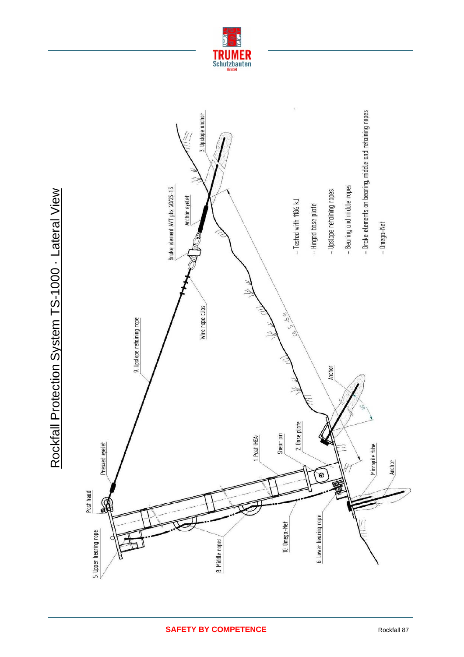

E

**TRUMER**<br>Schutzbauten

Rockfall Protection System TS-1000 - Lateral View Rockfall Protection System TS-1000 · Lateral View